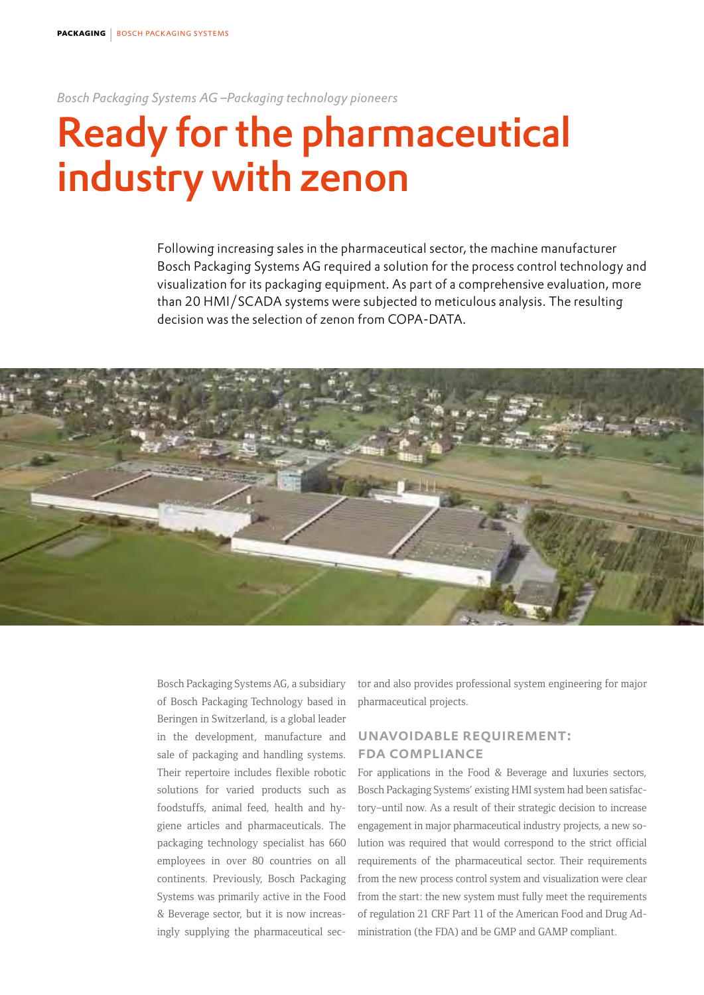*Bosch Packaging Systems AG –Packaging technology pioneers* 

## Ready for the pharmaceutical industry with zenon

Following increasing sales in the pharmaceutical sector, the machine manufacturer Bosch Packaging Systems AG required a solution for the process control technology and visualization for its packaging equipment. As part of a comprehensive evaluation, more than 20 HMI/SCADA systems were subjected to meticulous analysis. The resulting decision was the selection of zenon from COPA-DATA.



Bosch Packaging Systems AG, a subsidiary of Bosch Packaging Technology based in Beringen in Switzerland, is a global leader in the development, manufacture and sale of packaging and handling systems. Their repertoire includes flexible robotic solutions for varied products such as foodstuffs, animal feed, health and hygiene articles and pharmaceuticals. The packaging technology specialist has 660 employees in over 80 countries on all continents. Previously, Bosch Packaging Systems was primarily active in the Food & Beverage sector, but it is now increasingly supplying the pharmaceutical sector and also provides professional system engineering for major pharmaceutical projects.

## unavoidable requirement: fda compliance

For applications in the Food & Beverage and luxuries sectors, Bosch Packaging Systems' existing HMI system had been satisfactory–until now. As a result of their strategic decision to increase engagement in major pharmaceutical industry projects, a new solution was required that would correspond to the strict official requirements of the pharmaceutical sector. Their requirements from the new process control system and visualization were clear from the start: the new system must fully meet the requirements of regulation 21 CRF Part 11 of the American Food and Drug Administration (the FDA) and be GMP and GAMP compliant.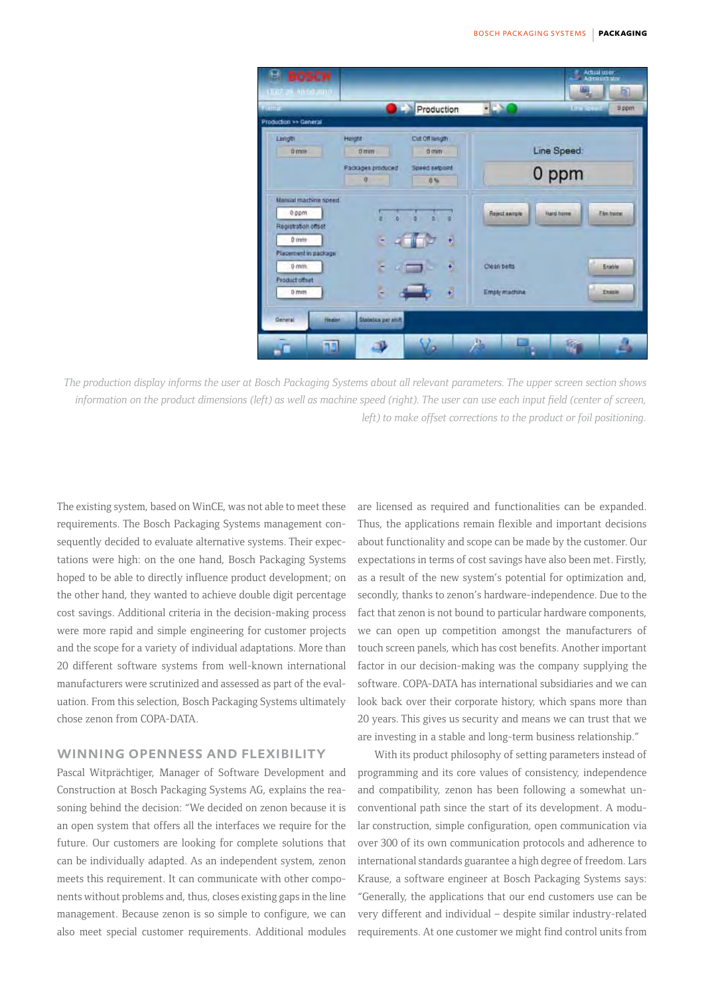

*The production display informs the user at Bosch Packaging Systems about all relevant parameters. The upper screen section shows information on the product dimensions (left) as well as machine speed (right). The user can use each input field (center of screen, left) to make offset corrections to the product or foil positioning.* 

The existing system, based on WinCE, was not able to meet these requirements. The Bosch Packaging Systems management consequently decided to evaluate alternative systems. Their expectations were high: on the one hand, Bosch Packaging Systems hoped to be able to directly influence product development; on the other hand, they wanted to achieve double digit percentage cost savings. Additional criteria in the decision-making process were more rapid and simple engineering for customer projects and the scope for a variety of individual adaptations. More than 20 different software systems from well-known international manufacturers were scrutinized and assessed as part of the evaluation. From this selection, Bosch Packaging Systems ultimately chose zenon from COPA-DATA.

## WINNING OPENNESS AND FLEXIBILITY

Pascal Witprächtiger, Manager of Software Development and Construction at Bosch Packaging Systems AG, explains the reasoning behind the decision: "We decided on zenon because it is an open system that offers all the interfaces we require for the future. Our customers are looking for complete solutions that can be individually adapted. As an independent system, zenon meets this requirement. It can communicate with other components without problems and, thus, closes existing gaps in the line management. Because zenon is so simple to configure, we can also meet special customer requirements. Additional modules are licensed as required and functionalities can be expanded. Thus, the applications remain flexible and important decisions about functionality and scope can be made by the customer. Our expectations in terms of cost savings have also been met. Firstly, as a result of the new system's potential for optimization and, secondly, thanks to zenon's hardware-independence. Due to the fact that zenon is not bound to particular hardware components, we can open up competition amongst the manufacturers of touch screen panels, which has cost benefits. Another important factor in our decision-making was the company supplying the software. COPA-DATA has international subsidiaries and we can look back over their corporate history, which spans more than 20 years. This gives us security and means we can trust that we are investing in a stable and long-term business relationship."

With its product philosophy of setting parameters instead of programming and its core values of consistency, independence and compatibility, zenon has been following a somewhat unconventional path since the start of its development. A modular construction, simple configuration, open communication via over 300 of its own communication protocols and adherence to international standards guarantee a high degree of freedom. Lars Krause, a software engineer at Bosch Packaging Systems says: "Generally, the applications that our end customers use can be very different and individual – despite similar industry-related requirements. At one customer we might find control units from